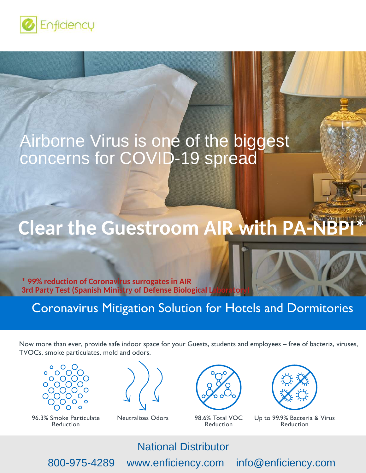

# Airborne Virus is one of the biggest concerns for COVID-19 spread

## **With Clean Clean Clean Clean Clean Clean Clean Clean Clean Clean**<br>List Clean Clean Clean Clean Clean Clean Clean Clean Clean Clean Clean Clean Clean<br>List Clean Clean Clean Clean Clean Clean Clean Clean Clean Clean Clean C Clear the Guestroom AIP with **Clear the Guestroom AIR with PA-NBPI\***

**Everyone Servester Servester Servester Servester Servester Servester Servester Servester Servester Servester Servester Servester Servester Servester Servester Servester Servester Servester Servester Servester Servester Se 3rd Party Test (Spanish Ministry of Defense Biological** 

Coronavirus Mitigation Solution for Hotels and Dormitories

Now more than ever, provide safe indoor space for your Guests, students and employees – free of bacteria, viruses, TVOCs, smoke particulates, mold and odors.



96.3% Smoke Particulate Reduction

Neutralizes Odors 98.6% Total VOC



Reduction



Up to 99.9% Bacteria & Virus Reduction

National Distributor

800-975-4289 www.enficiency.com info@enficiency.com